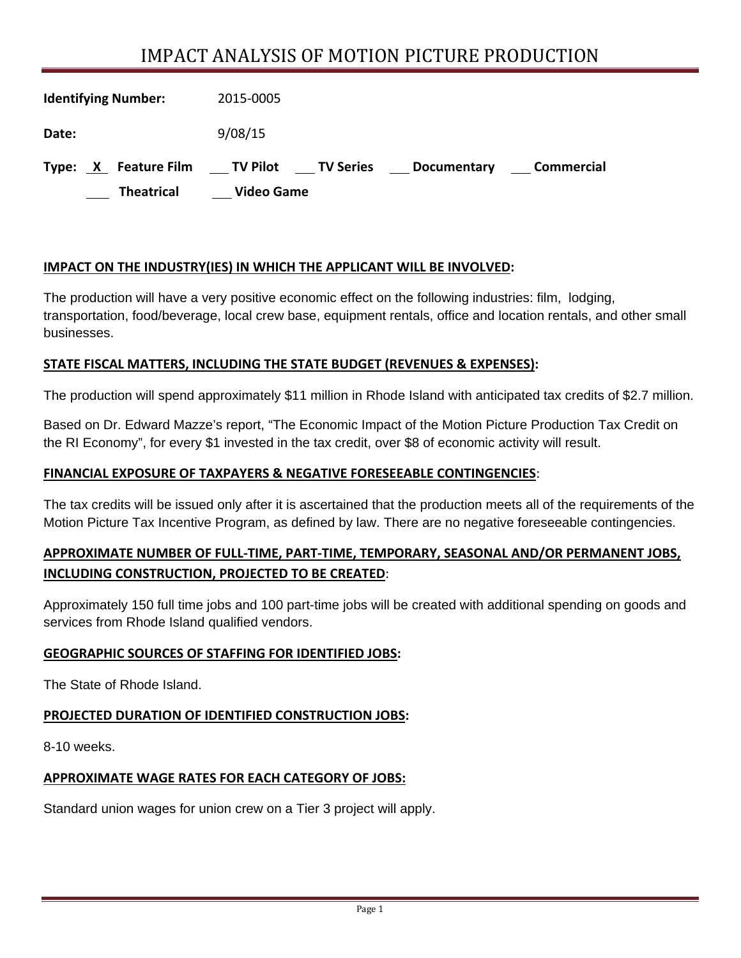# IMPACT ANALYSIS OF MOTION PICTURE PRODUCTION

| <b>Identifying Number:</b> | 2015-0005                                                           |
|----------------------------|---------------------------------------------------------------------|
| Date:                      | 9/08/15                                                             |
| X Feature Film<br>Type:    | ____ TV Pilot<br>____ TV Series<br>Commercial<br><b>Documentary</b> |
| <b>Theatrical</b>          | <b>Video Game</b>                                                   |

### **IMPACT ON THE INDUSTRY(IES) IN WHICH THE APPLICANT WILL BE INVOLVED:**

The production will have a very positive economic effect on the following industries: film, lodging, transportation, food/beverage, local crew base, equipment rentals, office and location rentals, and other small businesses.

#### **STATE FISCAL MATTERS, INCLUDING THE STATE BUDGET (REVENUES & EXPENSES):**

The production will spend approximately \$11 million in Rhode Island with anticipated tax credits of \$2.7 million.

Based on Dr. Edward Mazze's report, "The Economic Impact of the Motion Picture Production Tax Credit on the RI Economy", for every \$1 invested in the tax credit, over \$8 of economic activity will result.

#### **FINANCIAL EXPOSURE OF TAXPAYERS & NEGATIVE FORESEEABLE CONTINGENCIES**:

The tax credits will be issued only after it is ascertained that the production meets all of the requirements of the Motion Picture Tax Incentive Program, as defined by law. There are no negative foreseeable contingencies.

### **APPROXIMATE NUMBER OF FULL‐TIME, PART‐TIME, TEMPORARY, SEASONAL AND/OR PERMANENT JOBS, INCLUDING CONSTRUCTION, PROJECTED TO BE CREATED**:

Approximately 150 full time jobs and 100 part-time jobs will be created with additional spending on goods and services from Rhode Island qualified vendors.

#### **GEOGRAPHIC SOURCES OF STAFFING FOR IDENTIFIED JOBS:**

The State of Rhode Island.

# **PROJECTED DURATION OF IDENTIFIED CONSTRUCTION JOBS:**

8-10 weeks.

# **APPROXIMATE WAGE RATES FOR EACH CATEGORY OF JOBS:**

Standard union wages for union crew on a Tier 3 project will apply.